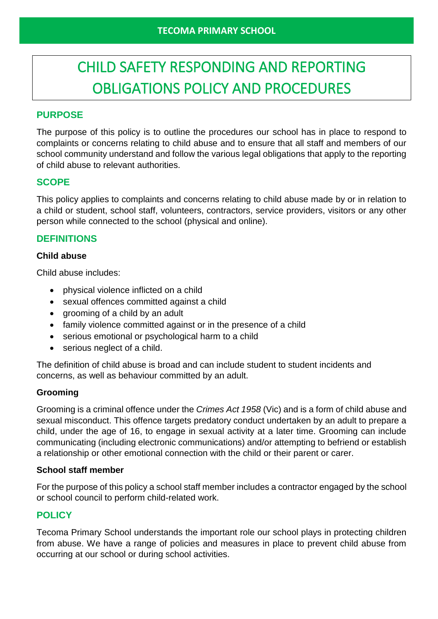# CHILD SAFETY RESPONDING AND REPORTING OBLIGATIONS POLICY AND PROCEDURES

# **PURPOSE**

The purpose of this policy is to outline the procedures our school has in place to respond to complaints or concerns relating to child abuse and to ensure that all staff and members of our school community understand and follow the various legal obligations that apply to the reporting of child abuse to relevant authorities.

# **SCOPE**

This policy applies to complaints and concerns relating to child abuse made by or in relation to a child or student, school staff, volunteers, contractors, service providers, visitors or any other person while connected to the school (physical and online).

# **DEFINITIONS**

#### **Child abuse**

Child abuse includes:

- physical violence inflicted on a child
- sexual offences committed against a child
- grooming of a child by an adult
- family violence committed against or in the presence of a child
- serious emotional or psychological harm to a child
- serious neglect of a child.

The definition of child abuse is broad and can include student to student incidents and concerns, as well as behaviour committed by an adult.

#### **Grooming**

Grooming is a criminal offence under the *Crimes Act 1958* (Vic) and is a form of child abuse and sexual misconduct. This offence targets predatory conduct undertaken by an adult to prepare a child, under the age of 16, to engage in sexual activity at a later time. Grooming can include communicating (including electronic communications) and/or attempting to befriend or establish a relationship or other emotional connection with the child or their parent or carer.

#### **School staff member**

For the purpose of this policy a school staff member includes a contractor engaged by the school or school council to perform child-related work.

# **POLICY**

Tecoma Primary School understands the important role our school plays in protecting children from abuse. We have a range of policies and measures in place to prevent child abuse from occurring at our school or during school activities.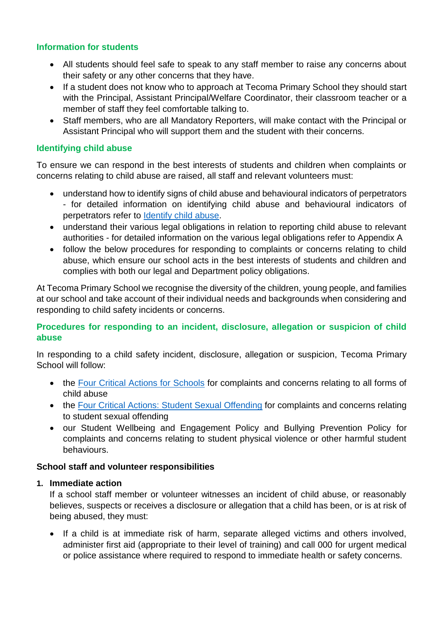## **Information for students**

- All students should feel safe to speak to any staff member to raise any concerns about their safety or any other concerns that they have.
- If a student does not know who to approach at Tecoma Primary School they should start with the Principal, Assistant Principal/Welfare Coordinator, their classroom teacher or a member of staff they feel comfortable talking to.
- Staff members, who are all Mandatory Reporters, will make contact with the Principal or Assistant Principal who will support them and the student with their concerns.

# **Identifying child abuse**

To ensure we can respond in the best interests of students and children when complaints or concerns relating to child abuse are raised, all staff and relevant volunteers must:

- understand how to identify signs of child abuse and behavioural indicators of perpetrators - for detailed information on identifying child abuse and behavioural indicators of perpetrators refer to [Identify child abuse.](https://www.education.vic.gov.au/school/teachers/health/childprotection/Pages/identify.aspx)
- understand their various legal obligations in relation to reporting child abuse to relevant authorities - for detailed information on the various legal obligations refer to Appendix A
- follow the below procedures for responding to complaints or concerns relating to child abuse, which ensure our school acts in the best interests of students and children and complies with both our legal and Department policy obligations.

At Tecoma Primary School we recognise the diversity of the children, young people, and families at our school and take account of their individual needs and backgrounds when considering and responding to child safety incidents or concerns.

## **Procedures for responding to an incident, disclosure, allegation or suspicion of child abuse**

In responding to a child safety incident, disclosure, allegation or suspicion, Tecoma Primary School will follow:

- the [Four Critical Actions for Schools](https://www.education.vic.gov.au/Documents/about/programs/health/protect/FourCriticalActions_ChildAbuse.pdf) for complaints and concerns relating to all forms of child abuse
- the [Four Critical Actions: Student Sexual Offending](https://www.education.vic.gov.au/school/teachers/health/childprotection/Pages/stusexual.aspx) for complaints and concerns relating to student sexual offending
- our Student Wellbeing and Engagement Policy and Bullying Prevention Policy for complaints and concerns relating to student physical violence or other harmful student behaviours.

#### **School staff and volunteer responsibilities**

#### **1. Immediate action**

If a school staff member or volunteer witnesses an incident of child abuse, or reasonably believes, suspects or receives a disclosure or allegation that a child has been, or is at risk of being abused, they must:

• If a child is at immediate risk of harm, separate alleged victims and others involved, administer first aid (appropriate to their level of training) and call 000 for urgent medical or police assistance where required to respond to immediate health or safety concerns.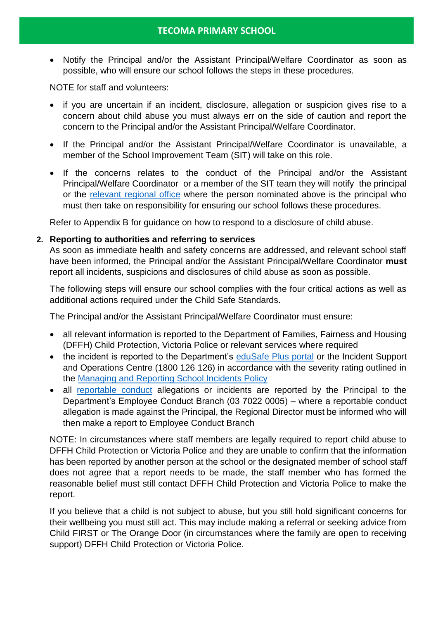• Notify the Principal and/or the Assistant Principal/Welfare Coordinator as soon as possible, who will ensure our school follows the steps in these procedures.

NOTE for staff and volunteers:

- if you are uncertain if an incident, disclosure, allegation or suspicion gives rise to a concern about child abuse you must always err on the side of caution and report the concern to the Principal and/or the Assistant Principal/Welfare Coordinator.
- If the Principal and/or the Assistant Principal/Welfare Coordinator is unavailable, a member of the School Improvement Team (SIT) will take on this role.
- If the concerns relates to the conduct of the Principal and/or the Assistant Principal/Welfare Coordinator or a member of the SIT team they will notify the principal or the [relevant regional office](https://www.vic.gov.au/contact-us-department-education-and-training#regional-office-contact-list) where the person nominated above is the principal who must then take on responsibility for ensuring our school follows these procedures.

Refer to Appendix B for guidance on how to respond to a disclosure of child abuse.

#### **2. Reporting to authorities and referring to services**

As soon as immediate health and safety concerns are addressed, and relevant school staff have been informed, the Principal and/or the Assistant Principal/Welfare Coordinator **must** report all incidents, suspicions and disclosures of child abuse as soon as possible.

The following steps will ensure our school complies with the four critical actions as well as additional actions required under the Child Safe Standards.

The Principal and/or the Assistant Principal/Welfare Coordinator must ensure:

- all relevant information is reported to the Department of Families, Fairness and Housing (DFFH) Child Protection, Victoria Police or relevant services where required
- the incident is reported to the Department's [eduSafe Plus portal](https://services.educationapps.vic.gov.au/edusafeplus) or the Incident Support and Operations Centre (1800 126 126) in accordance with the severity rating outlined in the [Managing and Reporting School Incidents Policy](https://www2.education.vic.gov.au/pal/reporting-and-managing-school-incidents-including-emergencies/policy)
- all [reportable conduct](https://www2.education.vic.gov.au/pal/reportable-conduct-scheme/policy) allegations or incidents are reported by the Principal to the Department's Employee Conduct Branch (03 7022 0005) – where a reportable conduct allegation is made against the Principal, the Regional Director must be informed who will then make a report to Employee Conduct Branch

NOTE: In circumstances where staff members are legally required to report child abuse to DFFH Child Protection or Victoria Police and they are unable to confirm that the information has been reported by another person at the school or the designated member of school staff does not agree that a report needs to be made, the staff member who has formed the reasonable belief must still contact DFFH Child Protection and Victoria Police to make the report.

If you believe that a child is not subject to abuse, but you still hold significant concerns for their wellbeing you must still act. This may include making a referral or seeking advice from Child FIRST or The Orange Door (in circumstances where the family are open to receiving support) DFFH Child Protection or Victoria Police.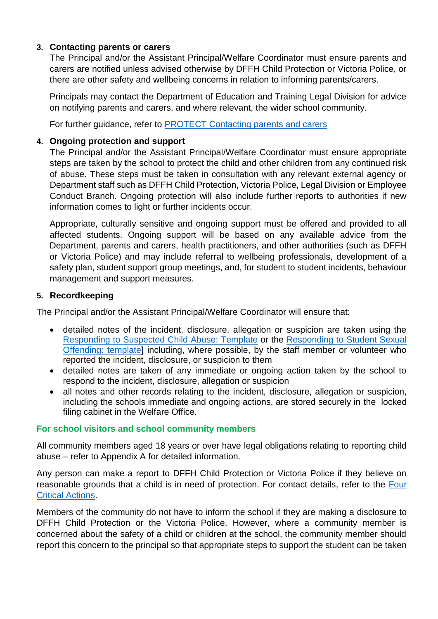## **3. Contacting parents or carers**

The Principal and/or the Assistant Principal/Welfare Coordinator must ensure parents and carers are notified unless advised otherwise by DFFH Child Protection or Victoria Police, or there are other safety and wellbeing concerns in relation to informing parents/carers.

Principals may contact the Department of Education and Training Legal Division for advice on notifying parents and carers, and where relevant, the wider school community.

For further guidance, refer to [PROTECT Contacting parents and carers](https://www.education.vic.gov.au/school/teachers/health/childprotection/Pages/actionthree.aspx)

## **4. Ongoing protection and support**

The Principal and/or the Assistant Principal/Welfare Coordinator must ensure appropriate steps are taken by the school to protect the child and other children from any continued risk of abuse. These steps must be taken in consultation with any relevant external agency or Department staff such as DFFH Child Protection, Victoria Police, Legal Division or Employee Conduct Branch. Ongoing protection will also include further reports to authorities if new information comes to light or further incidents occur.

Appropriate, culturally sensitive and ongoing support must be offered and provided to all affected students. Ongoing support will be based on any available advice from the Department, parents and carers, health practitioners, and other authorities (such as DFFH or Victoria Police) and may include referral to wellbeing professionals, development of a safety plan, student support group meetings, and, for student to student incidents, behaviour management and support measures.

#### **5. Recordkeeping**

The Principal and/or the Assistant Principal/Welfare Coordinator will ensure that:

- detailed notes of the incident, disclosure, allegation or suspicion are taken using the [Responding to Suspected Child Abuse: Template](https://www.education.vic.gov.au/Documents/about/programs/health/protect/PROTECT_Schoolstemplate.pdf) or the [Responding to Student Sexual](https://www.education.vic.gov.au/Documents/about/programs/health/protect/SSO_ReportingTemplate.docx)  [Offending: template\]](https://www.education.vic.gov.au/Documents/about/programs/health/protect/SSO_ReportingTemplate.docx) including, where possible, by the staff member or volunteer who reported the incident, disclosure, or suspicion to them
- detailed notes are taken of any immediate or ongoing action taken by the school to respond to the incident, disclosure, allegation or suspicion
- all notes and other records relating to the incident, disclosure, allegation or suspicion, including the schools immediate and ongoing actions, are stored securely in the locked filing cabinet in the Welfare Office.

# **For school visitors and school community members**

All community members aged 18 years or over have legal obligations relating to reporting child abuse – refer to Appendix A for detailed information.

Any person can make a report to DFFH Child Protection or Victoria Police if they believe on reasonable grounds that a child is in need of protection. For contact details, refer to the [Four](https://www.education.vic.gov.au/Documents/about/programs/health/protect/FourCriticalActions_ChildAbuse.pdf)  [Critical Actions.](https://www.education.vic.gov.au/Documents/about/programs/health/protect/FourCriticalActions_ChildAbuse.pdf)

Members of the community do not have to inform the school if they are making a disclosure to DFFH Child Protection or the Victoria Police. However, where a community member is concerned about the safety of a child or children at the school, the community member should report this concern to the principal so that appropriate steps to support the student can be taken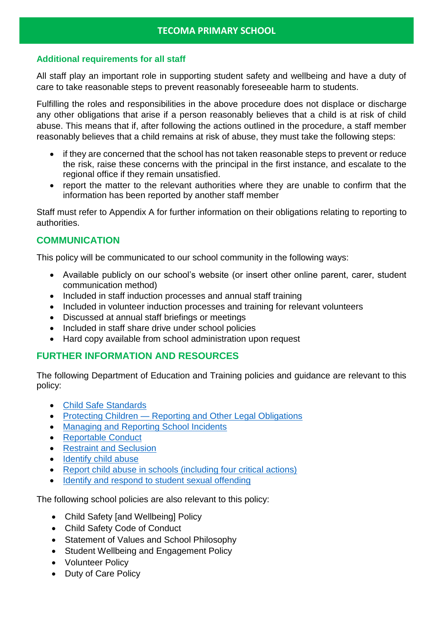## **Additional requirements for all staff**

All staff play an important role in supporting student safety and wellbeing and have a duty of care to take reasonable steps to prevent reasonably foreseeable harm to students.

Fulfilling the roles and responsibilities in the above procedure does not displace or discharge any other obligations that arise if a person reasonably believes that a child is at risk of child abuse. This means that if, after following the actions outlined in the procedure, a staff member reasonably believes that a child remains at risk of abuse, they must take the following steps:

- if they are concerned that the school has not taken reasonable steps to prevent or reduce the risk, raise these concerns with the principal in the first instance, and escalate to the regional office if they remain unsatisfied.
- report the matter to the relevant authorities where they are unable to confirm that the information has been reported by another staff member

Staff must refer to Appendix A for further information on their obligations relating to reporting to authorities.

# **COMMUNICATION**

This policy will be communicated to our school community in the following ways:

- Available publicly on our school's website (or insert other online parent, carer, student communication method)
- Included in staff induction processes and annual staff training
- Included in volunteer induction processes and training for relevant volunteers
- Discussed at annual staff briefings or meetings
- Included in staff share drive under school policies
- Hard copy available from school administration upon request

# **FURTHER INFORMATION AND RESOURCES**

The following Department of Education and Training policies and guidance are relevant to this policy:

- [Child Safe Standards](https://www2.education.vic.gov.au/pal/child-safe-standards/policy)
- Protecting Children [Reporting and Other Legal Obligations](https://www2.education.vic.gov.au/pal/protecting-children/policy)
- [Managing and Reporting School Incidents](https://www2.education.vic.gov.au/pal/reporting-and-managing-school-incidents-including-emergencies/policy)
- [Reportable Conduct](https://www2.education.vic.gov.au/pal/reportable-conduct-scheme/policy)
- [Restraint and Seclusion](https://www2.education.vic.gov.au/pal/restraint-seclusion/policy)
- [Identify child abuse](https://www.education.vic.gov.au/school/teachers/health/childprotection/Pages/identify.aspx)
- [Report child abuse in schools \(including four critical actions\)](https://www.education.vic.gov.au/school/teachers/health/childprotection/Pages/report.aspx)
- [Identify and respond to student sexual offending](https://www.education.vic.gov.au/school/teachers/health/childprotection/Pages/stusexual.aspx)

The following school policies are also relevant to this policy:

- Child Safety [and Wellbeing] Policy
- Child Safety Code of Conduct
- Statement of Values and School Philosophy
- Student Wellbeing and Engagement Policy
- Volunteer Policy
- Duty of Care Policy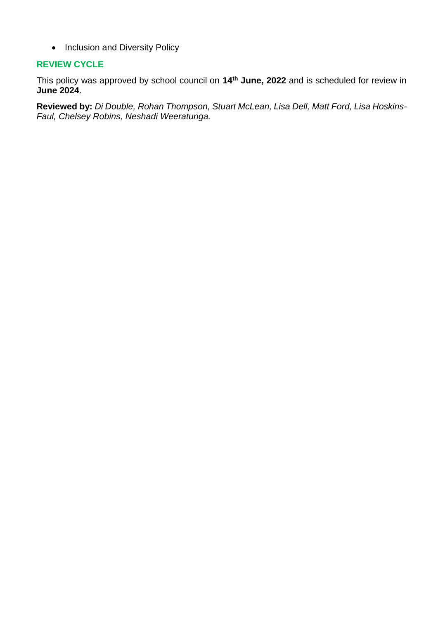• Inclusion and Diversity Policy

#### **REVIEW CYCLE**

This policy was approved by school council on **14th June, 2022** and is scheduled for review in **June 2024**.

**Reviewed by:** *Di Double, Rohan Thompson, Stuart McLean, Lisa Dell, Matt Ford, Lisa Hoskins-Faul, Chelsey Robins, Neshadi Weeratunga.*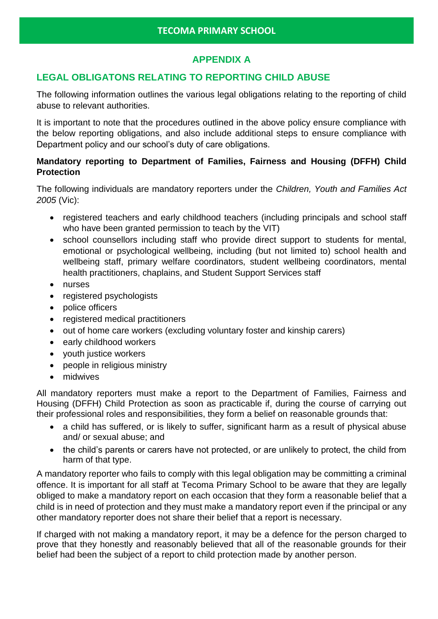# **APPENDIX A**

# **LEGAL OBLIGATONS RELATING TO REPORTING CHILD ABUSE**

The following information outlines the various legal obligations relating to the reporting of child abuse to relevant authorities.

It is important to note that the procedures outlined in the above policy ensure compliance with the below reporting obligations, and also include additional steps to ensure compliance with Department policy and our school's duty of care obligations.

# **Mandatory reporting to Department of Families, Fairness and Housing (DFFH) Child Protection**

The following individuals are mandatory reporters under the *Children, Youth and Families Act 2005* (Vic):

- registered teachers and early childhood teachers (including principals and school staff who have been granted permission to teach by the VIT)
- school counsellors including staff who provide direct support to students for mental, emotional or psychological wellbeing, including (but not limited to) school health and wellbeing staff, primary welfare coordinators, student wellbeing coordinators, mental health practitioners, chaplains, and Student Support Services staff
- nurses
- registered psychologists
- police officers
- registered medical practitioners
- out of home care workers (excluding voluntary foster and kinship carers)
- early childhood workers
- youth justice workers
- people in religious ministry
- midwives

All mandatory reporters must make a report to the Department of Families, Fairness and Housing (DFFH) Child Protection as soon as practicable if, during the course of carrying out their professional roles and responsibilities, they form a belief on reasonable grounds that:

- a child has suffered, or is likely to suffer, significant harm as a result of physical abuse and/ or sexual abuse; and
- the child's parents or carers have not protected, or are unlikely to protect, the child from harm of that type.

A mandatory reporter who fails to comply with this legal obligation may be committing a criminal offence. It is important for all staff at Tecoma Primary School to be aware that they are legally obliged to make a mandatory report on each occasion that they form a reasonable belief that a child is in need of protection and they must make a mandatory report even if the principal or any other mandatory reporter does not share their belief that a report is necessary.

If charged with not making a mandatory report, it may be a defence for the person charged to prove that they honestly and reasonably believed that all of the reasonable grounds for their belief had been the subject of a report to child protection made by another person.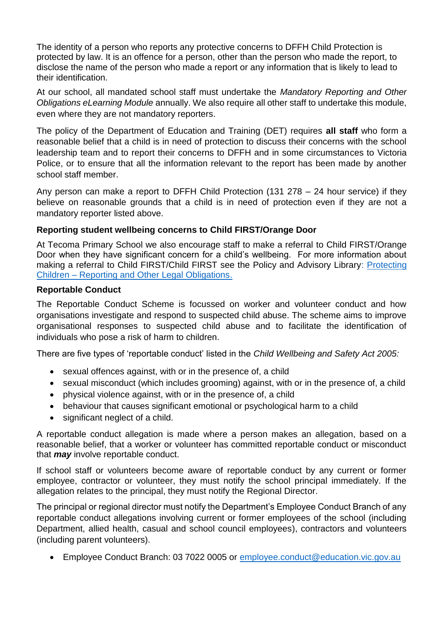The identity of a person who reports any protective concerns to DFFH Child Protection is protected by law. It is an offence for a person, other than the person who made the report, to disclose the name of the person who made a report or any information that is likely to lead to their identification.

At our school, all mandated school staff must undertake the *Mandatory Reporting and Other Obligations eLearning Module* annually. We also require all other staff to undertake this module, even where they are not mandatory reporters.

The policy of the Department of Education and Training (DET) requires **all staff** who form a reasonable belief that a child is in need of protection to discuss their concerns with the school leadership team and to report their concerns to DFFH and in some circumstances to Victoria Police, or to ensure that all the information relevant to the report has been made by another school staff member.

Any person can make a report to DFFH Child Protection (131 278 – 24 hour service) if they believe on reasonable grounds that a child is in need of protection even if they are not a mandatory reporter listed above.

## **Reporting student wellbeing concerns to Child FIRST/Orange Door**

At Tecoma Primary School we also encourage staff to make a referral to Child FIRST/Orange Door when they have significant concern for a child's wellbeing. For more information about making a referral to Child FIRST/Child FIRST see the Policy and Advisory Library: Protecting Children – [Reporting and Other Legal Obligations.](https://www2.education.vic.gov.au/pal/protecting-children/policy)

#### **Reportable Conduct**

The Reportable Conduct Scheme is focussed on worker and volunteer conduct and how organisations investigate and respond to suspected child abuse. The scheme aims to improve organisational responses to suspected child abuse and to facilitate the identification of individuals who pose a risk of harm to children.

There are five types of 'reportable conduct' listed in the *Child Wellbeing and Safety Act 2005:*

- sexual offences against, with or in the presence of, a child
- sexual misconduct (which includes grooming) against, with or in the presence of, a child
- physical violence against, with or in the presence of, a child
- behaviour that causes significant emotional or psychological harm to a child
- significant neglect of a child.

A reportable conduct allegation is made where a person makes an allegation, based on a reasonable belief, that a worker or volunteer has committed reportable conduct or misconduct that *may* involve reportable conduct.

If school staff or volunteers become aware of reportable conduct by any current or former employee, contractor or volunteer, they must notify the school principal immediately. If the allegation relates to the principal, they must notify the Regional Director.

The principal or regional director must notify the Department's Employee Conduct Branch of any reportable conduct allegations involving current or former employees of the school (including Department, allied health, casual and school council employees), contractors and volunteers (including parent volunteers).

• Employee Conduct Branch: 03 7022 0005 or [employee.conduct@education.vic.gov.au](mailto:employee.conduct@education.vic.gov.au)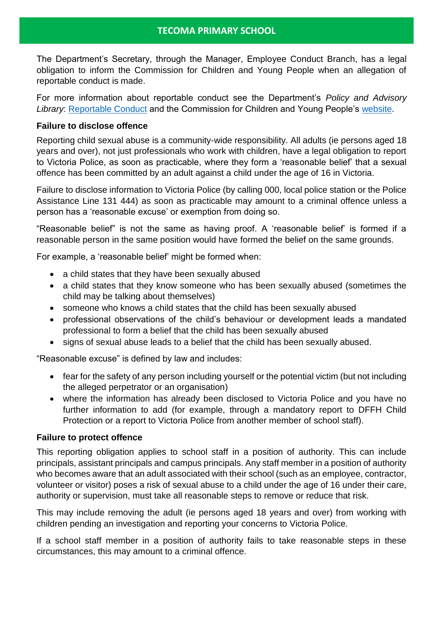# **TECOMA PRIMARY SCHOOL**

The Department's Secretary, through the Manager, Employee Conduct Branch, has a legal obligation to inform the Commission for Children and Young People when an allegation of reportable conduct is made.

For more information about reportable conduct see the Department's *Policy and Advisory Library*: [Reportable Conduct](https://www2.education.vic.gov.au/pal/reportable-conduct-scheme/policy) and the Commission for Children and Young People's [website.](https://ccyp.vic.gov.au/reportable-conduct-scheme/)

## **Failure to disclose offence**

Reporting child sexual abuse is a community-wide responsibility. All adults (ie persons aged 18 years and over), not just professionals who work with children, have a legal obligation to report to Victoria Police, as soon as practicable, where they form a 'reasonable belief' that a sexual offence has been committed by an adult against a child under the age of 16 in Victoria.

Failure to disclose information to Victoria Police (by calling 000, local police station or the Police Assistance Line 131 444) as soon as practicable may amount to a criminal offence unless a person has a 'reasonable excuse' or exemption from doing so.

"Reasonable belief" is not the same as having proof. A 'reasonable belief' is formed if a reasonable person in the same position would have formed the belief on the same grounds.

For example, a 'reasonable belief' might be formed when:

- a child states that they have been sexually abused
- a child states that they know someone who has been sexually abused (sometimes the child may be talking about themselves)
- someone who knows a child states that the child has been sexually abused
- professional observations of the child's behaviour or development leads a mandated professional to form a belief that the child has been sexually abused
- signs of sexual abuse leads to a belief that the child has been sexually abused.

"Reasonable excuse" is defined by law and includes:

- fear for the safety of any person including yourself or the potential victim (but not including the alleged perpetrator or an organisation)
- where the information has already been disclosed to Victoria Police and you have no further information to add (for example, through a mandatory report to DFFH Child Protection or a report to Victoria Police from another member of school staff).

#### **Failure to protect offence**

This reporting obligation applies to school staff in a position of authority. This can include principals, assistant principals and campus principals. Any staff member in a position of authority who becomes aware that an adult associated with their school (such as an employee, contractor, volunteer or visitor) poses a risk of sexual abuse to a child under the age of 16 under their care, authority or supervision, must take all reasonable steps to remove or reduce that risk.

This may include removing the adult (ie persons aged 18 years and over) from working with children pending an investigation and reporting your concerns to Victoria Police.

If a school staff member in a position of authority fails to take reasonable steps in these circumstances, this may amount to a criminal offence.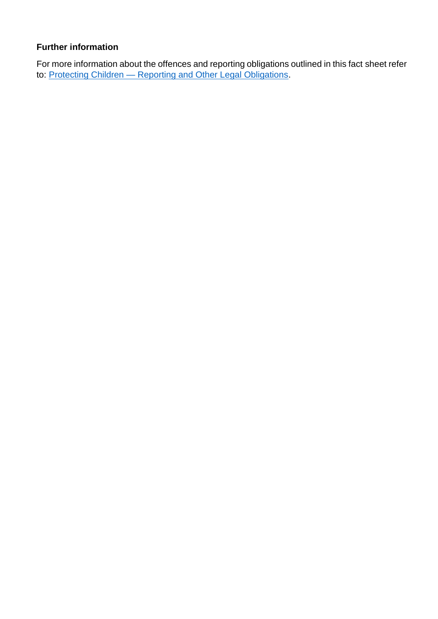# **Further information**

For more information about the offences and reporting obligations outlined in this fact sheet refer to: Protecting Children — [Reporting and Other Legal Obligations.](https://www2.education.vic.gov.au/pal/protecting-children/policy)